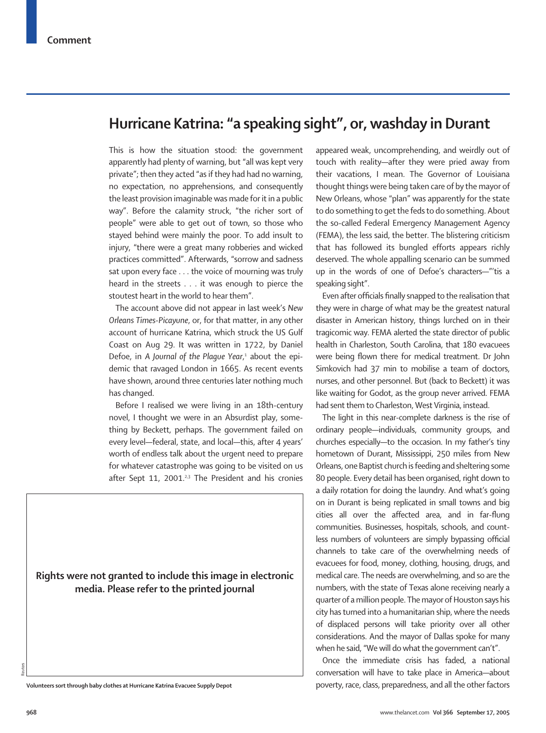## **Hurricane Katrina: "a speaking sight", or, washday in Durant**

This is how the situation stood: the government apparently had plenty of warning, but "all was kept very private"; then they acted "as if they had had no warning, no expectation, no apprehensions, and consequently the least provision imaginable was made for it in a public way". Before the calamity struck, "the richer sort of people" were able to get out of town, so those who stayed behind were mainly the poor. To add insult to injury, "there were a great many robberies and wicked practices committed". Afterwards, "sorrow and sadness sat upon every face . . . the voice of mourning was truly heard in the streets . . . it was enough to pierce the stoutest heart in the world to hear them".

The account above did not appear in last week's *New Orleans Times-Picayune*, or, for that matter, in any other account of hurricane Katrina, which struck the US Gulf Coast on Aug 29. It was written in 1722, by Daniel Defoe, in *A Journal of the Plague Year*, <sup>1</sup> about the epidemic that ravaged London in 1665. As recent events have shown, around three centuries later nothing much has changed.

Before I realised we were living in an 18th-century novel, I thought we were in an Absurdist play, something by Beckett, perhaps. The government failed on every level—federal, state, and local—this, after 4 years' worth of endless talk about the urgent need to prepare for whatever catastrophe was going to be visited on us after Sept 11, 2001. $23$  The President and his cronies

**Rights were not granted to include this image in electronic media. Please refer to the printed journal**

appeared weak, uncomprehending, and weirdly out of touch with reality—after they were pried away from their vacations, I mean. The Governor of Louisiana thought things were being taken care of by the mayor of New Orleans, whose "plan" was apparently for the state to do something to get the feds to do something. About the so-called Federal Emergency Management Agency (FEMA), the less said, the better. The blistering criticism that has followed its bungled efforts appears richly deserved. The whole appalling scenario can be summed up in the words of one of Defoe's characters—"'tis a speaking sight".

Even after officials finally snapped to the realisation that they were in charge of what may be the greatest natural disaster in American history, things lurched on in their tragicomic way. FEMA alerted the state director of public health in Charleston, South Carolina, that 180 evacuees were being flown there for medical treatment. Dr John Simkovich had 37 min to mobilise a team of doctors, nurses, and other personnel. But (back to Beckett) it was like waiting for Godot, as the group never arrived. FEMA had sent them to Charleston, West Virginia, instead.

The light in this near-complete darkness is the rise of ordinary people—individuals, community groups, and churches especially—to the occasion. In my father's tiny hometown of Durant, Mississippi, 250 miles from New Orleans, one Baptist church is feeding and sheltering some 80 people. Every detail has been organised, right down to a daily rotation for doing the laundry. And what's going on in Durant is being replicated in small towns and big cities all over the affected area, and in far-flung communities. Businesses, hospitals, schools, and countless numbers of volunteers are simply bypassing official channels to take care of the overwhelming needs of evacuees for food, money, clothing, housing, drugs, and medical care. The needs are overwhelming, and so are the numbers, with the state of Texas alone receiving nearly a quarter of a million people. The mayor of Houston says his city has turned into a humanitarian ship, where the needs of displaced persons will take priority over all other considerations. And the mayor of Dallas spoke for many when he said, "We will do what the government can't".

Once the immediate crisis has faded, a national conversation will have to take place in America—about **Volunteers sort through baby clothes at Hurricane Katrina Evacuee Supply Depot** poverty, race, class, preparedness, and all the other factors

Reuters